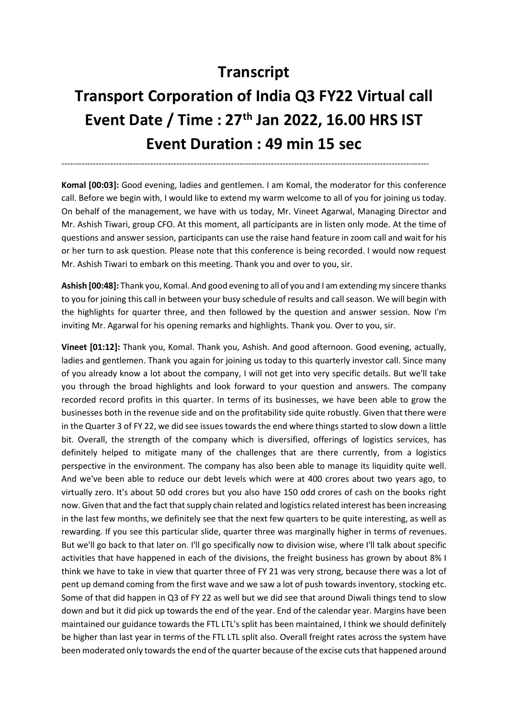## **Transcript**

## **Transport Corporation of India Q3 FY22 Virtual call Event Date / Time : 27th Jan 2022, 16.00 HRS IST Event Duration : 49 min 15 sec**

--------------------------------------------------------------------------------------------------------------------------------

**Komal [00:03]:** Good evening, ladies and gentlemen. I am Komal, the moderator for this conference call. Before we begin with, I would like to extend my warm welcome to all of you for joining us today. On behalf of the management, we have with us today, Mr. Vineet Agarwal, Managing Director and Mr. Ashish Tiwari, group CFO. At this moment, all participants are in listen only mode. At the time of questions and answer session, participants can use the raise hand feature in zoom call and wait for his or her turn to ask question. Please note that this conference is being recorded. I would now request Mr. Ashish Tiwari to embark on this meeting. Thank you and over to you, sir.

**Ashish [00:48]:** Thank you, Komal. And good evening to all of you and I am extending my sincere thanks to you for joining this call in between your busy schedule of results and call season. We will begin with the highlights for quarter three, and then followed by the question and answer session. Now I'm inviting Mr. Agarwal for his opening remarks and highlights. Thank you. Over to you, sir.

**Vineet [01:12]:** Thank you, Komal. Thank you, Ashish. And good afternoon. Good evening, actually, ladies and gentlemen. Thank you again for joining us today to this quarterly investor call. Since many of you already know a lot about the company, I will not get into very specific details. But we'll take you through the broad highlights and look forward to your question and answers. The company recorded record profits in this quarter. In terms of its businesses, we have been able to grow the businesses both in the revenue side and on the profitability side quite robustly. Given that there were in the Quarter 3 of FY 22, we did see issues towards the end where things started to slow down a little bit. Overall, the strength of the company which is diversified, offerings of logistics services, has definitely helped to mitigate many of the challenges that are there currently, from a logistics perspective in the environment. The company has also been able to manage its liquidity quite well. And we've been able to reduce our debt levels which were at 400 crores about two years ago, to virtually zero. It's about 50 odd crores but you also have 150 odd crores of cash on the books right now. Given that and the fact that supply chain related and logistics related interest has been increasing in the last few months, we definitely see that the next few quarters to be quite interesting, as well as rewarding. If you see this particular slide, quarter three was marginally higher in terms of revenues. But we'll go back to that later on. I'll go specifically now to division wise, where I'll talk about specific activities that have happened in each of the divisions, the freight business has grown by about 8% I think we have to take in view that quarter three of FY 21 was very strong, because there was a lot of pent up demand coming from the first wave and we saw a lot of push towards inventory, stocking etc. Some of that did happen in Q3 of FY 22 as well but we did see that around Diwali things tend to slow down and but it did pick up towards the end of the year. End of the calendar year. Margins have been maintained our guidance towards the FTL LTL's split has been maintained, I think we should definitely be higher than last year in terms of the FTL LTL split also. Overall freight rates across the system have been moderated only towards the end of the quarter because of the excise cuts that happened around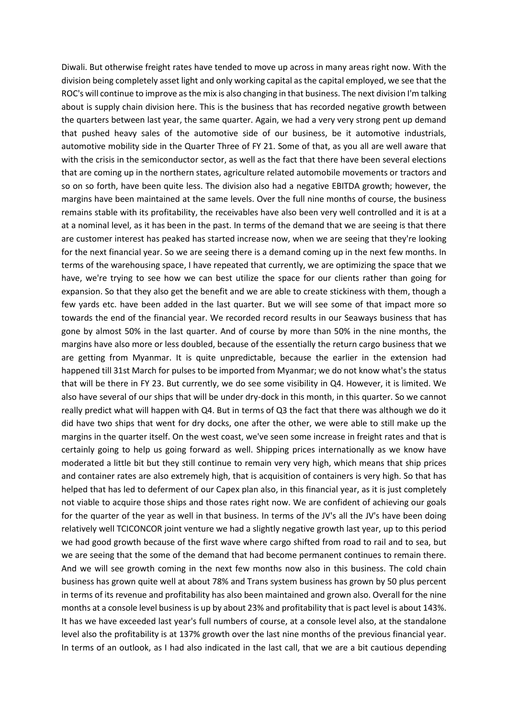Diwali. But otherwise freight rates have tended to move up across in many areas right now. With the division being completely asset light and only working capital as the capital employed, we see that the ROC's will continue to improve as the mix is also changing in that business. The next division I'm talking about is supply chain division here. This is the business that has recorded negative growth between the quarters between last year, the same quarter. Again, we had a very very strong pent up demand that pushed heavy sales of the automotive side of our business, be it automotive industrials, automotive mobility side in the Quarter Three of FY 21. Some of that, as you all are well aware that with the crisis in the semiconductor sector, as well as the fact that there have been several elections that are coming up in the northern states, agriculture related automobile movements or tractors and so on so forth, have been quite less. The division also had a negative EBITDA growth; however, the margins have been maintained at the same levels. Over the full nine months of course, the business remains stable with its profitability, the receivables have also been very well controlled and it is at a at a nominal level, as it has been in the past. In terms of the demand that we are seeing is that there are customer interest has peaked has started increase now, when we are seeing that they're looking for the next financial year. So we are seeing there is a demand coming up in the next few months. In terms of the warehousing space, I have repeated that currently, we are optimizing the space that we have, we're trying to see how we can best utilize the space for our clients rather than going for expansion. So that they also get the benefit and we are able to create stickiness with them, though a few yards etc. have been added in the last quarter. But we will see some of that impact more so towards the end of the financial year. We recorded record results in our Seaways business that has gone by almost 50% in the last quarter. And of course by more than 50% in the nine months, the margins have also more or less doubled, because of the essentially the return cargo business that we are getting from Myanmar. It is quite unpredictable, because the earlier in the extension had happened till 31st March for pulses to be imported from Myanmar; we do not know what's the status that will be there in FY 23. But currently, we do see some visibility in Q4. However, it is limited. We also have several of our ships that will be under dry-dock in this month, in this quarter. So we cannot really predict what will happen with Q4. But in terms of Q3 the fact that there was although we do it did have two ships that went for dry docks, one after the other, we were able to still make up the margins in the quarter itself. On the west coast, we've seen some increase in freight rates and that is certainly going to help us going forward as well. Shipping prices internationally as we know have moderated a little bit but they still continue to remain very very high, which means that ship prices and container rates are also extremely high, that is acquisition of containers is very high. So that has helped that has led to deferment of our Capex plan also, in this financial year, as it is just completely not viable to acquire those ships and those rates right now. We are confident of achieving our goals for the quarter of the year as well in that business. In terms of the JV's all the JV's have been doing relatively well TCICONCOR joint venture we had a slightly negative growth last year, up to this period we had good growth because of the first wave where cargo shifted from road to rail and to sea, but we are seeing that the some of the demand that had become permanent continues to remain there. And we will see growth coming in the next few months now also in this business. The cold chain business has grown quite well at about 78% and Trans system business has grown by 50 plus percent in terms of its revenue and profitability has also been maintained and grown also. Overall for the nine months at a console level business is up by about 23% and profitability that is pact level is about 143%. It has we have exceeded last year's full numbers of course, at a console level also, at the standalone level also the profitability is at 137% growth over the last nine months of the previous financial year. In terms of an outlook, as I had also indicated in the last call, that we are a bit cautious depending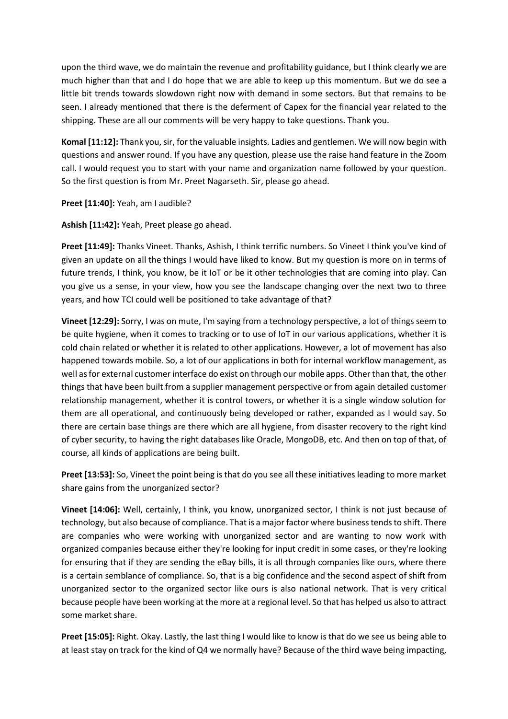upon the third wave, we do maintain the revenue and profitability guidance, but I think clearly we are much higher than that and I do hope that we are able to keep up this momentum. But we do see a little bit trends towards slowdown right now with demand in some sectors. But that remains to be seen. I already mentioned that there is the deferment of Capex for the financial year related to the shipping. These are all our comments will be very happy to take questions. Thank you.

**Komal [11:12]:** Thank you, sir, for the valuable insights. Ladies and gentlemen. We will now begin with questions and answer round. If you have any question, please use the raise hand feature in the Zoom call. I would request you to start with your name and organization name followed by your question. So the first question is from Mr. Preet Nagarseth. Sir, please go ahead.

**Preet [11:40]:** Yeah, am I audible?

**Ashish [11:42]:** Yeah, Preet please go ahead.

**Preet [11:49]:** Thanks Vineet. Thanks, Ashish, I think terrific numbers. So Vineet I think you've kind of given an update on all the things I would have liked to know. But my question is more on in terms of future trends, I think, you know, be it IoT or be it other technologies that are coming into play. Can you give us a sense, in your view, how you see the landscape changing over the next two to three years, and how TCI could well be positioned to take advantage of that?

**Vineet [12:29]:** Sorry, I was on mute, I'm saying from a technology perspective, a lot of things seem to be quite hygiene, when it comes to tracking or to use of IoT in our various applications, whether it is cold chain related or whether it is related to other applications. However, a lot of movement has also happened towards mobile. So, a lot of our applications in both for internal workflow management, as well as for external customer interface do exist on through our mobile apps. Other than that, the other things that have been built from a supplier management perspective or from again detailed customer relationship management, whether it is control towers, or whether it is a single window solution for them are all operational, and continuously being developed or rather, expanded as I would say. So there are certain base things are there which are all hygiene, from disaster recovery to the right kind of cyber security, to having the right databases like Oracle, MongoDB, etc. And then on top of that, of course, all kinds of applications are being built.

**Preet [13:53]:** So, Vineet the point being is that do you see all these initiatives leading to more market share gains from the unorganized sector?

**Vineet [14:06]:** Well, certainly, I think, you know, unorganized sector, I think is not just because of technology, but also because of compliance. That is a major factor where business tends to shift. There are companies who were working with unorganized sector and are wanting to now work with organized companies because either they're looking for input credit in some cases, or they're looking for ensuring that if they are sending the eBay bills, it is all through companies like ours, where there is a certain semblance of compliance. So, that is a big confidence and the second aspect of shift from unorganized sector to the organized sector like ours is also national network. That is very critical because people have been working at the more at a regional level. So that has helped us also to attract some market share.

**Preet [15:05]:** Right. Okay. Lastly, the last thing I would like to know is that do we see us being able to at least stay on track for the kind of Q4 we normally have? Because of the third wave being impacting,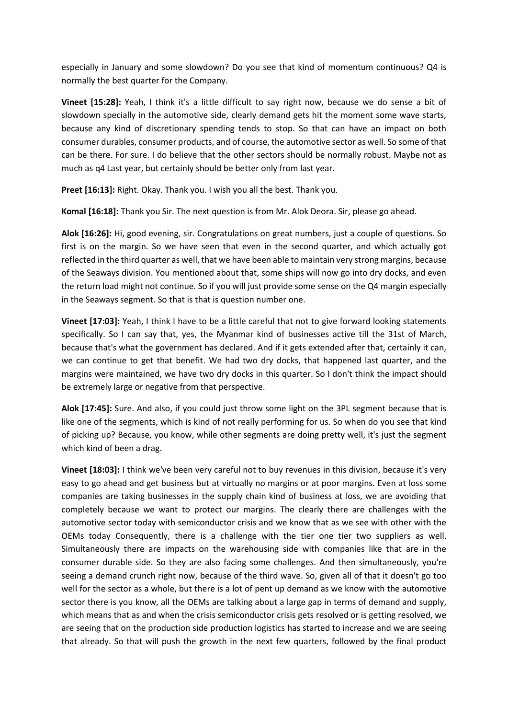especially in January and some slowdown? Do you see that kind of momentum continuous? Q4 is normally the best quarter for the Company.

**Vineet [15:28]:** Yeah, I think it's a little difficult to say right now, because we do sense a bit of slowdown specially in the automotive side, clearly demand gets hit the moment some wave starts, because any kind of discretionary spending tends to stop. So that can have an impact on both consumer durables, consumer products, and of course, the automotive sector as well. So some of that can be there. For sure. I do believe that the other sectors should be normally robust. Maybe not as much as q4 Last year, but certainly should be better only from last year.

**Preet [16:13]:** Right. Okay. Thank you. I wish you all the best. Thank you.

**Komal [16:18]:** Thank you Sir. The next question is from Mr. Alok Deora. Sir, please go ahead.

**Alok [16:26]:** Hi, good evening, sir. Congratulations on great numbers, just a couple of questions. So first is on the margin. So we have seen that even in the second quarter, and which actually got reflected in the third quarter as well, that we have been able to maintain very strong margins, because of the Seaways division. You mentioned about that, some ships will now go into dry docks, and even the return load might not continue. So if you will just provide some sense on the Q4 margin especially in the Seaways segment. So that is that is question number one.

**Vineet [17:03]:** Yeah, I think I have to be a little careful that not to give forward looking statements specifically. So I can say that, yes, the Myanmar kind of businesses active till the 31st of March, because that's what the government has declared. And if it gets extended after that, certainly it can, we can continue to get that benefit. We had two dry docks, that happened last quarter, and the margins were maintained, we have two dry docks in this quarter. So I don't think the impact should be extremely large or negative from that perspective.

**Alok [17:45]:** Sure. And also, if you could just throw some light on the 3PL segment because that is like one of the segments, which is kind of not really performing for us. So when do you see that kind of picking up? Because, you know, while other segments are doing pretty well, it's just the segment which kind of been a drag.

**Vineet [18:03]:** I think we've been very careful not to buy revenues in this division, because it's very easy to go ahead and get business but at virtually no margins or at poor margins. Even at loss some companies are taking businesses in the supply chain kind of business at loss, we are avoiding that completely because we want to protect our margins. The clearly there are challenges with the automotive sector today with semiconductor crisis and we know that as we see with other with the OEMs today Consequently, there is a challenge with the tier one tier two suppliers as well. Simultaneously there are impacts on the warehousing side with companies like that are in the consumer durable side. So they are also facing some challenges. And then simultaneously, you're seeing a demand crunch right now, because of the third wave. So, given all of that it doesn't go too well for the sector as a whole, but there is a lot of pent up demand as we know with the automotive sector there is you know, all the OEMs are talking about a large gap in terms of demand and supply, which means that as and when the crisis semiconductor crisis gets resolved or is getting resolved, we are seeing that on the production side production logistics has started to increase and we are seeing that already. So that will push the growth in the next few quarters, followed by the final product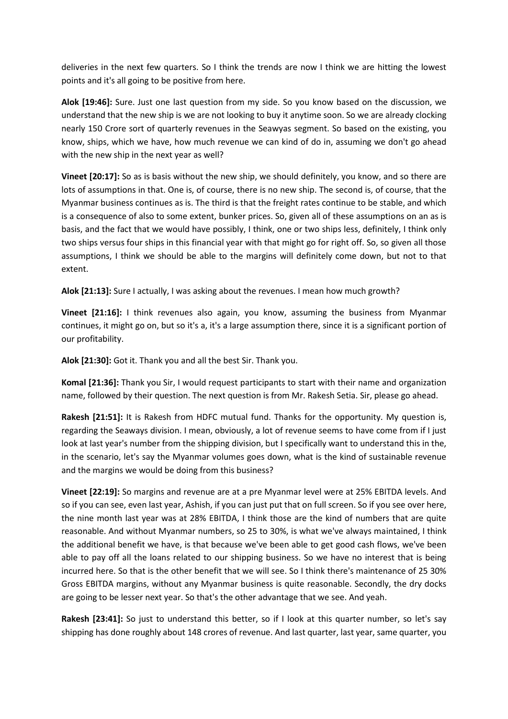deliveries in the next few quarters. So I think the trends are now I think we are hitting the lowest points and it's all going to be positive from here.

**Alok [19:46]:** Sure. Just one last question from my side. So you know based on the discussion, we understand that the new ship is we are not looking to buy it anytime soon. So we are already clocking nearly 150 Crore sort of quarterly revenues in the Seawyas segment. So based on the existing, you know, ships, which we have, how much revenue we can kind of do in, assuming we don't go ahead with the new ship in the next year as well?

**Vineet [20:17]:** So as is basis without the new ship, we should definitely, you know, and so there are lots of assumptions in that. One is, of course, there is no new ship. The second is, of course, that the Myanmar business continues as is. The third is that the freight rates continue to be stable, and which is a consequence of also to some extent, bunker prices. So, given all of these assumptions on an as is basis, and the fact that we would have possibly, I think, one or two ships less, definitely, I think only two ships versus four ships in this financial year with that might go for right off. So, so given all those assumptions, I think we should be able to the margins will definitely come down, but not to that extent.

**Alok [21:13]:** Sure I actually, I was asking about the revenues. I mean how much growth?

**Vineet [21:16]:** I think revenues also again, you know, assuming the business from Myanmar continues, it might go on, but so it's a, it's a large assumption there, since it is a significant portion of our profitability.

**Alok [21:30]:** Got it. Thank you and all the best Sir. Thank you.

**Komal [21:36]:** Thank you Sir, I would request participants to start with their name and organization name, followed by their question. The next question is from Mr. Rakesh Setia. Sir, please go ahead.

**Rakesh [21:51]:** It is Rakesh from HDFC mutual fund. Thanks for the opportunity. My question is, regarding the Seaways division. I mean, obviously, a lot of revenue seems to have come from if I just look at last year's number from the shipping division, but I specifically want to understand this in the, in the scenario, let's say the Myanmar volumes goes down, what is the kind of sustainable revenue and the margins we would be doing from this business?

**Vineet [22:19]:** So margins and revenue are at a pre Myanmar level were at 25% EBITDA levels. And so if you can see, even last year, Ashish, if you can just put that on full screen. So if you see over here, the nine month last year was at 28% EBITDA, I think those are the kind of numbers that are quite reasonable. And without Myanmar numbers, so 25 to 30%, is what we've always maintained, I think the additional benefit we have, is that because we've been able to get good cash flows, we've been able to pay off all the loans related to our shipping business. So we have no interest that is being incurred here. So that is the other benefit that we will see. So I think there's maintenance of 25 30% Gross EBITDA margins, without any Myanmar business is quite reasonable. Secondly, the dry docks are going to be lesser next year. So that's the other advantage that we see. And yeah.

**Rakesh [23:41]:** So just to understand this better, so if I look at this quarter number, so let's say shipping has done roughly about 148 crores of revenue. And last quarter, last year, same quarter, you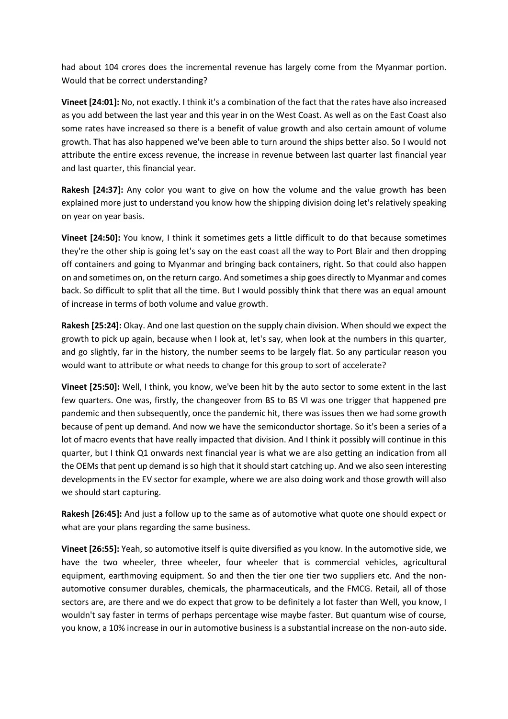had about 104 crores does the incremental revenue has largely come from the Myanmar portion. Would that be correct understanding?

**Vineet [24:01]:** No, not exactly. I think it's a combination of the fact that the rates have also increased as you add between the last year and this year in on the West Coast. As well as on the East Coast also some rates have increased so there is a benefit of value growth and also certain amount of volume growth. That has also happened we've been able to turn around the ships better also. So I would not attribute the entire excess revenue, the increase in revenue between last quarter last financial year and last quarter, this financial year.

**Rakesh [24:37]:** Any color you want to give on how the volume and the value growth has been explained more just to understand you know how the shipping division doing let's relatively speaking on year on year basis.

**Vineet [24:50]:** You know, I think it sometimes gets a little difficult to do that because sometimes they're the other ship is going let's say on the east coast all the way to Port Blair and then dropping off containers and going to Myanmar and bringing back containers, right. So that could also happen on and sometimes on, on the return cargo. And sometimes a ship goes directly to Myanmar and comes back. So difficult to split that all the time. But I would possibly think that there was an equal amount of increase in terms of both volume and value growth.

**Rakesh [25:24]:** Okay. And one last question on the supply chain division. When should we expect the growth to pick up again, because when I look at, let's say, when look at the numbers in this quarter, and go slightly, far in the history, the number seems to be largely flat. So any particular reason you would want to attribute or what needs to change for this group to sort of accelerate?

**Vineet [25:50]:** Well, I think, you know, we've been hit by the auto sector to some extent in the last few quarters. One was, firstly, the changeover from BS to BS VI was one trigger that happened pre pandemic and then subsequently, once the pandemic hit, there was issues then we had some growth because of pent up demand. And now we have the semiconductor shortage. So it's been a series of a lot of macro events that have really impacted that division. And I think it possibly will continue in this quarter, but I think Q1 onwards next financial year is what we are also getting an indication from all the OEMs that pent up demand is so high that it should start catching up. And we also seen interesting developments in the EV sector for example, where we are also doing work and those growth will also we should start capturing.

**Rakesh [26:45]:** And just a follow up to the same as of automotive what quote one should expect or what are your plans regarding the same business.

**Vineet [26:55]:** Yeah, so automotive itself is quite diversified as you know. In the automotive side, we have the two wheeler, three wheeler, four wheeler that is commercial vehicles, agricultural equipment, earthmoving equipment. So and then the tier one tier two suppliers etc. And the nonautomotive consumer durables, chemicals, the pharmaceuticals, and the FMCG. Retail, all of those sectors are, are there and we do expect that grow to be definitely a lot faster than Well, you know, I wouldn't say faster in terms of perhaps percentage wise maybe faster. But quantum wise of course, you know, a 10% increase in our in automotive business is a substantial increase on the non-auto side.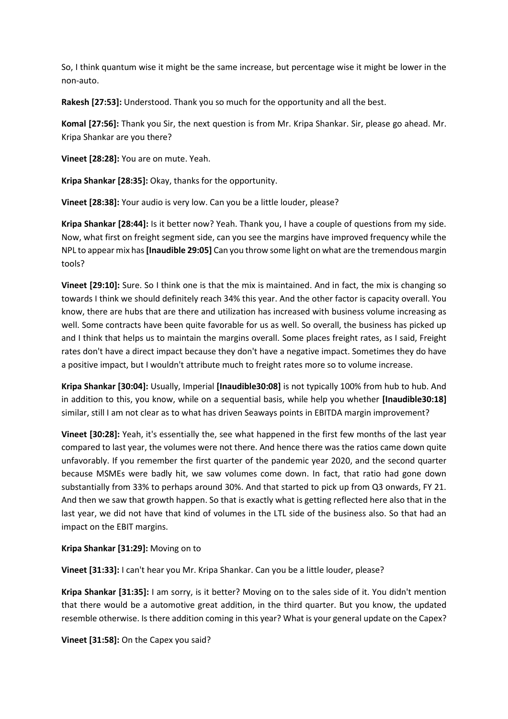So, I think quantum wise it might be the same increase, but percentage wise it might be lower in the non-auto.

**Rakesh [27:53]:** Understood. Thank you so much for the opportunity and all the best.

**Komal [27:56]:** Thank you Sir, the next question is from Mr. Kripa Shankar. Sir, please go ahead. Mr. Kripa Shankar are you there?

**Vineet [28:28]:** You are on mute. Yeah.

**Kripa Shankar [28:35]:** Okay, thanks for the opportunity.

**Vineet [28:38]:** Your audio is very low. Can you be a little louder, please?

**Kripa Shankar [28:44]:** Is it better now? Yeah. Thank you, I have a couple of questions from my side. Now, what first on freight segment side, can you see the margins have improved frequency while the NPL to appear mix has **[Inaudible 29:05]** Can you throw some light on what are the tremendous margin tools?

**Vineet [29:10]:** Sure. So I think one is that the mix is maintained. And in fact, the mix is changing so towards I think we should definitely reach 34% this year. And the other factor is capacity overall. You know, there are hubs that are there and utilization has increased with business volume increasing as well. Some contracts have been quite favorable for us as well. So overall, the business has picked up and I think that helps us to maintain the margins overall. Some places freight rates, as I said, Freight rates don't have a direct impact because they don't have a negative impact. Sometimes they do have a positive impact, but I wouldn't attribute much to freight rates more so to volume increase.

**Kripa Shankar [30:04]:** Usually, Imperial **[Inaudible30:08]** is not typically 100% from hub to hub. And in addition to this, you know, while on a sequential basis, while help you whether **[Inaudible30:18]** similar, still I am not clear as to what has driven Seaways points in EBITDA margin improvement?

**Vineet [30:28]:** Yeah, it's essentially the, see what happened in the first few months of the last year compared to last year, the volumes were not there. And hence there was the ratios came down quite unfavorably. If you remember the first quarter of the pandemic year 2020, and the second quarter because MSMEs were badly hit, we saw volumes come down. In fact, that ratio had gone down substantially from 33% to perhaps around 30%. And that started to pick up from Q3 onwards, FY 21. And then we saw that growth happen. So that is exactly what is getting reflected here also that in the last year, we did not have that kind of volumes in the LTL side of the business also. So that had an impact on the EBIT margins.

**Kripa Shankar [31:29]:** Moving on to

**Vineet [31:33]:** I can't hear you Mr. Kripa Shankar. Can you be a little louder, please?

**Kripa Shankar [31:35]:** I am sorry, is it better? Moving on to the sales side of it. You didn't mention that there would be a automotive great addition, in the third quarter. But you know, the updated resemble otherwise. Is there addition coming in this year? What is your general update on the Capex?

**Vineet [31:58]:** On the Capex you said?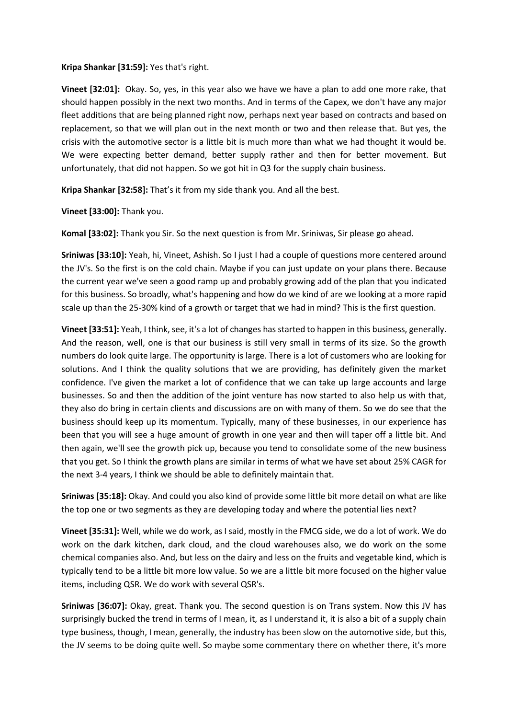## **Kripa Shankar [31:59]:** Yes that's right.

**Vineet [32:01]:** Okay. So, yes, in this year also we have we have a plan to add one more rake, that should happen possibly in the next two months. And in terms of the Capex, we don't have any major fleet additions that are being planned right now, perhaps next year based on contracts and based on replacement, so that we will plan out in the next month or two and then release that. But yes, the crisis with the automotive sector is a little bit is much more than what we had thought it would be. We were expecting better demand, better supply rather and then for better movement. But unfortunately, that did not happen. So we got hit in Q3 for the supply chain business.

**Kripa Shankar [32:58]:** That's it from my side thank you. And all the best.

**Vineet [33:00]:** Thank you.

**Komal [33:02]:** Thank you Sir. So the next question is from Mr. Sriniwas, Sir please go ahead.

**Sriniwas [33:10]:** Yeah, hi, Vineet, Ashish. So I just I had a couple of questions more centered around the JV's. So the first is on the cold chain. Maybe if you can just update on your plans there. Because the current year we've seen a good ramp up and probably growing add of the plan that you indicated for this business. So broadly, what's happening and how do we kind of are we looking at a more rapid scale up than the 25-30% kind of a growth or target that we had in mind? This is the first question.

**Vineet [33:51]:** Yeah, I think, see, it's a lot of changes has started to happen in this business, generally. And the reason, well, one is that our business is still very small in terms of its size. So the growth numbers do look quite large. The opportunity is large. There is a lot of customers who are looking for solutions. And I think the quality solutions that we are providing, has definitely given the market confidence. I've given the market a lot of confidence that we can take up large accounts and large businesses. So and then the addition of the joint venture has now started to also help us with that, they also do bring in certain clients and discussions are on with many of them. So we do see that the business should keep up its momentum. Typically, many of these businesses, in our experience has been that you will see a huge amount of growth in one year and then will taper off a little bit. And then again, we'll see the growth pick up, because you tend to consolidate some of the new business that you get. So I think the growth plans are similar in terms of what we have set about 25% CAGR for the next 3-4 years, I think we should be able to definitely maintain that.

**Sriniwas [35:18]:** Okay. And could you also kind of provide some little bit more detail on what are like the top one or two segments as they are developing today and where the potential lies next?

**Vineet [35:31]:** Well, while we do work, as I said, mostly in the FMCG side, we do a lot of work. We do work on the dark kitchen, dark cloud, and the cloud warehouses also, we do work on the some chemical companies also. And, but less on the dairy and less on the fruits and vegetable kind, which is typically tend to be a little bit more low value. So we are a little bit more focused on the higher value items, including QSR. We do work with several QSR's.

**Sriniwas [36:07]:** Okay, great. Thank you. The second question is on Trans system. Now this JV has surprisingly bucked the trend in terms of I mean, it, as I understand it, it is also a bit of a supply chain type business, though, I mean, generally, the industry has been slow on the automotive side, but this, the JV seems to be doing quite well. So maybe some commentary there on whether there, it's more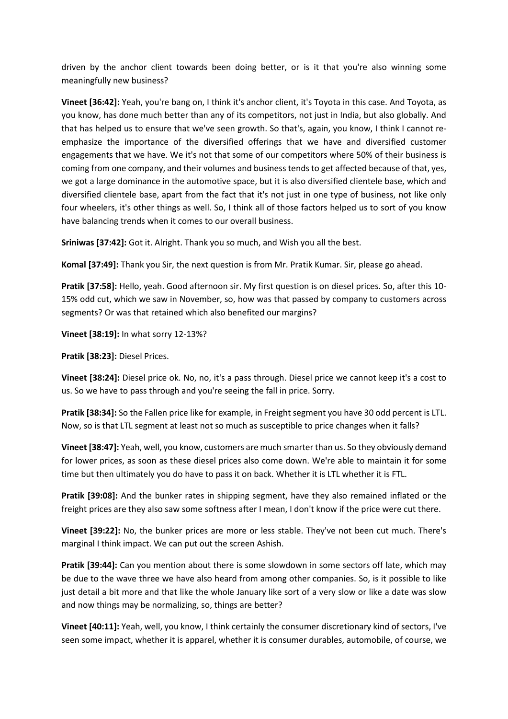driven by the anchor client towards been doing better, or is it that you're also winning some meaningfully new business?

**Vineet [36:42]:** Yeah, you're bang on, I think it's anchor client, it's Toyota in this case. And Toyota, as you know, has done much better than any of its competitors, not just in India, but also globally. And that has helped us to ensure that we've seen growth. So that's, again, you know, I think I cannot reemphasize the importance of the diversified offerings that we have and diversified customer engagements that we have. We it's not that some of our competitors where 50% of their business is coming from one company, and their volumes and business tends to get affected because of that, yes, we got a large dominance in the automotive space, but it is also diversified clientele base, which and diversified clientele base, apart from the fact that it's not just in one type of business, not like only four wheelers, it's other things as well. So, I think all of those factors helped us to sort of you know have balancing trends when it comes to our overall business.

**Sriniwas [37:42]:** Got it. Alright. Thank you so much, and Wish you all the best.

**Komal [37:49]:** Thank you Sir, the next question is from Mr. Pratik Kumar. Sir, please go ahead.

**Pratik [37:58]:** Hello, yeah. Good afternoon sir. My first question is on diesel prices. So, after this 10- 15% odd cut, which we saw in November, so, how was that passed by company to customers across segments? Or was that retained which also benefited our margins?

**Vineet [38:19]:** In what sorry 12-13%?

**Pratik [38:23]:** Diesel Prices.

**Vineet [38:24]:** Diesel price ok. No, no, it's a pass through. Diesel price we cannot keep it's a cost to us. So we have to pass through and you're seeing the fall in price. Sorry.

**Pratik [38:34]:** So the Fallen price like for example, in Freight segment you have 30 odd percent is LTL. Now, so is that LTL segment at least not so much as susceptible to price changes when it falls?

**Vineet [38:47]:** Yeah, well, you know, customers are much smarter than us. So they obviously demand for lower prices, as soon as these diesel prices also come down. We're able to maintain it for some time but then ultimately you do have to pass it on back. Whether it is LTL whether it is FTL.

**Pratik [39:08]:** And the bunker rates in shipping segment, have they also remained inflated or the freight prices are they also saw some softness after I mean, I don't know if the price were cut there.

**Vineet [39:22]:** No, the bunker prices are more or less stable. They've not been cut much. There's marginal I think impact. We can put out the screen Ashish.

**Pratik [39:44]:** Can you mention about there is some slowdown in some sectors off late, which may be due to the wave three we have also heard from among other companies. So, is it possible to like just detail a bit more and that like the whole January like sort of a very slow or like a date was slow and now things may be normalizing, so, things are better?

**Vineet [40:11]:** Yeah, well, you know, I think certainly the consumer discretionary kind of sectors, I've seen some impact, whether it is apparel, whether it is consumer durables, automobile, of course, we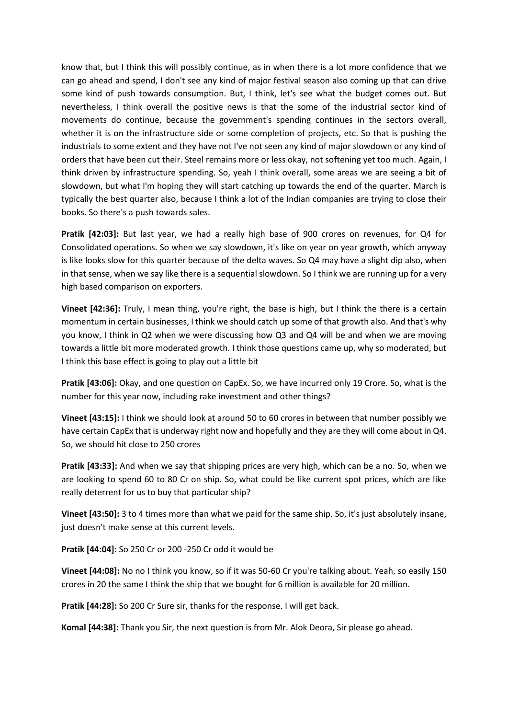know that, but I think this will possibly continue, as in when there is a lot more confidence that we can go ahead and spend, I don't see any kind of major festival season also coming up that can drive some kind of push towards consumption. But, I think, let's see what the budget comes out. But nevertheless, I think overall the positive news is that the some of the industrial sector kind of movements do continue, because the government's spending continues in the sectors overall, whether it is on the infrastructure side or some completion of projects, etc. So that is pushing the industrials to some extent and they have not I've not seen any kind of major slowdown or any kind of orders that have been cut their. Steel remains more or less okay, not softening yet too much. Again, I think driven by infrastructure spending. So, yeah I think overall, some areas we are seeing a bit of slowdown, but what I'm hoping they will start catching up towards the end of the quarter. March is typically the best quarter also, because I think a lot of the Indian companies are trying to close their books. So there's a push towards sales.

**Pratik [42:03]:** But last year, we had a really high base of 900 crores on revenues, for Q4 for Consolidated operations. So when we say slowdown, it's like on year on year growth, which anyway is like looks slow for this quarter because of the delta waves. So Q4 may have a slight dip also, when in that sense, when we say like there is a sequential slowdown. So I think we are running up for a very high based comparison on exporters.

**Vineet [42:36]:** Truly, I mean thing, you're right, the base is high, but I think the there is a certain momentum in certain businesses, I think we should catch up some of that growth also. And that's why you know, I think in Q2 when we were discussing how Q3 and Q4 will be and when we are moving towards a little bit more moderated growth. I think those questions came up, why so moderated, but I think this base effect is going to play out a little bit

**Pratik [43:06]:** Okay, and one question on CapEx. So, we have incurred only 19 Crore. So, what is the number for this year now, including rake investment and other things?

**Vineet [43:15]:** I think we should look at around 50 to 60 crores in between that number possibly we have certain CapEx that is underway right now and hopefully and they are they will come about in Q4. So, we should hit close to 250 crores

**Pratik [43:33]:** And when we say that shipping prices are very high, which can be a no. So, when we are looking to spend 60 to 80 Cr on ship. So, what could be like current spot prices, which are like really deterrent for us to buy that particular ship?

**Vineet [43:50]:** 3 to 4 times more than what we paid for the same ship. So, it's just absolutely insane, just doesn't make sense at this current levels.

**Pratik [44:04]:** So 250 Cr or 200 -250 Cr odd it would be

**Vineet [44:08]:** No no I think you know, so if it was 50-60 Cr you're talking about. Yeah, so easily 150 crores in 20 the same I think the ship that we bought for 6 million is available for 20 million.

**Pratik [44:28]:** So 200 Cr Sure sir, thanks for the response. I will get back.

**Komal [44:38]:** Thank you Sir, the next question is from Mr. Alok Deora, Sir please go ahead.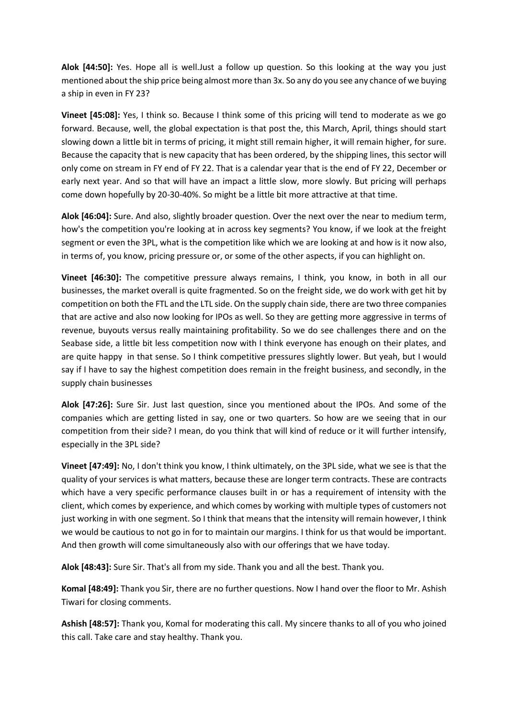**Alok [44:50]:** Yes. Hope all is well.Just a follow up question. So this looking at the way you just mentioned about the ship price being almost more than 3x. So any do you see any chance of we buying a ship in even in FY 23?

**Vineet [45:08]:** Yes, I think so. Because I think some of this pricing will tend to moderate as we go forward. Because, well, the global expectation is that post the, this March, April, things should start slowing down a little bit in terms of pricing, it might still remain higher, it will remain higher, for sure. Because the capacity that is new capacity that has been ordered, by the shipping lines, this sector will only come on stream in FY end of FY 22. That is a calendar year that is the end of FY 22, December or early next year. And so that will have an impact a little slow, more slowly. But pricing will perhaps come down hopefully by 20-30-40%. So might be a little bit more attractive at that time.

**Alok [46:04]:** Sure. And also, slightly broader question. Over the next over the near to medium term, how's the competition you're looking at in across key segments? You know, if we look at the freight segment or even the 3PL, what is the competition like which we are looking at and how is it now also, in terms of, you know, pricing pressure or, or some of the other aspects, if you can highlight on.

**Vineet [46:30]:** The competitive pressure always remains, I think, you know, in both in all our businesses, the market overall is quite fragmented. So on the freight side, we do work with get hit by competition on both the FTL and the LTL side. On the supply chain side, there are two three companies that are active and also now looking for IPOs as well. So they are getting more aggressive in terms of revenue, buyouts versus really maintaining profitability. So we do see challenges there and on the Seabase side, a little bit less competition now with I think everyone has enough on their plates, and are quite happy in that sense. So I think competitive pressures slightly lower. But yeah, but I would say if I have to say the highest competition does remain in the freight business, and secondly, in the supply chain businesses

**Alok [47:26]:** Sure Sir. Just last question, since you mentioned about the IPOs. And some of the companies which are getting listed in say, one or two quarters. So how are we seeing that in our competition from their side? I mean, do you think that will kind of reduce or it will further intensify, especially in the 3PL side?

**Vineet [47:49]:** No, I don't think you know, I think ultimately, on the 3PL side, what we see is that the quality of your services is what matters, because these are longer term contracts. These are contracts which have a very specific performance clauses built in or has a requirement of intensity with the client, which comes by experience, and which comes by working with multiple types of customers not just working in with one segment. So I think that means that the intensity will remain however, I think we would be cautious to not go in for to maintain our margins. I think for us that would be important. And then growth will come simultaneously also with our offerings that we have today.

**Alok [48:43]:** Sure Sir. That's all from my side. Thank you and all the best. Thank you.

**Komal [48:49]:** Thank you Sir, there are no further questions. Now I hand over the floor to Mr. Ashish Tiwari for closing comments.

**Ashish [48:57]:** Thank you, Komal for moderating this call. My sincere thanks to all of you who joined this call. Take care and stay healthy. Thank you.